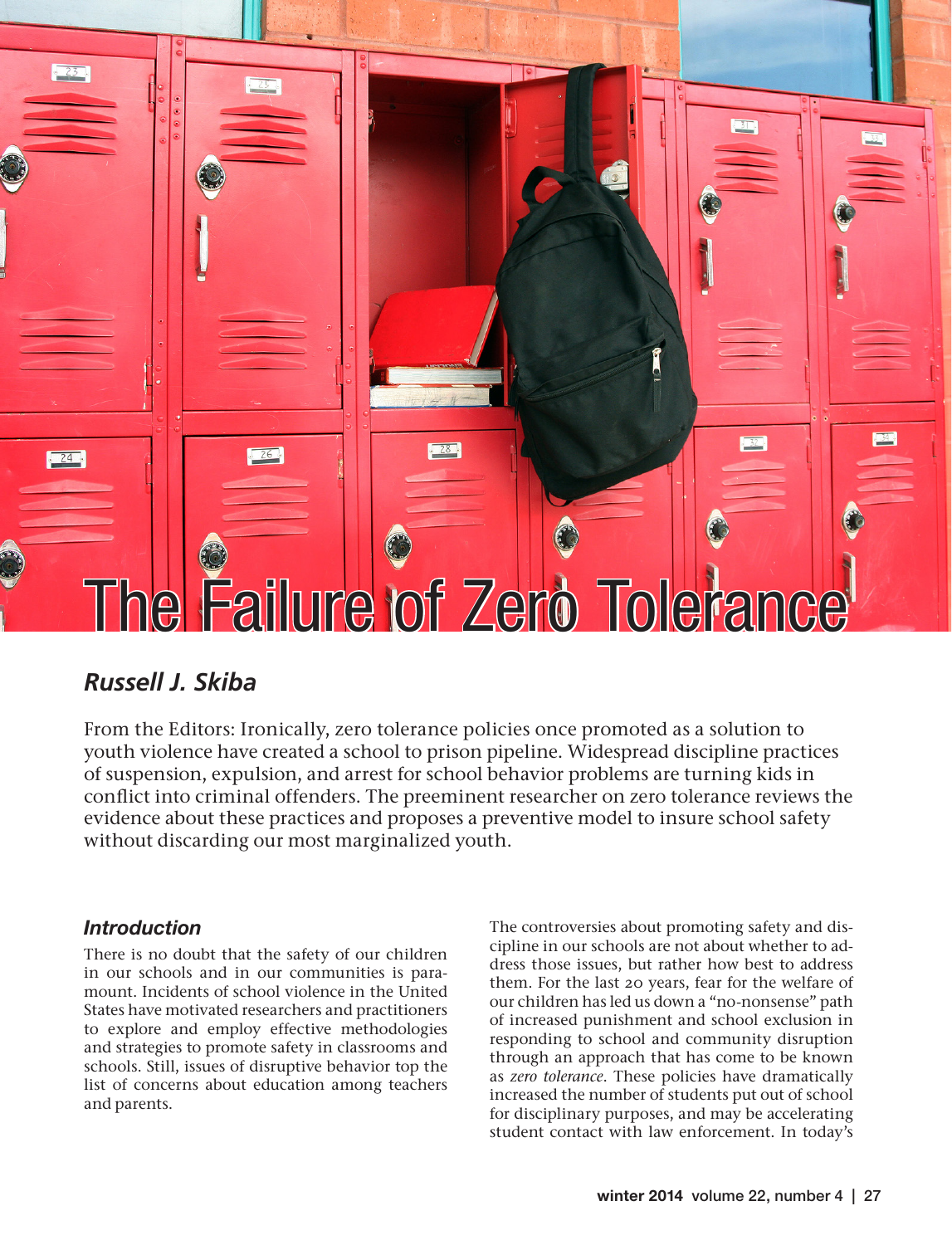# $-26$  $24$ The Failure of Zero Tolerance

# *Russell J. Skiba*

From the Editors: Ironically, zero tolerance policies once promoted as a solution to youth violence have created a school to prison pipeline. Widespread discipline practices of suspension, expulsion, and arrest for school behavior problems are turning kids in conflict into criminal offenders. The preeminent researcher on zero tolerance reviews the evidence about these practices and proposes a preventive model to insure school safety without discarding our most marginalized youth.

# *Introduction*

There is no doubt that the safety of our children in our schools and in our communities is paramount. Incidents of school violence in the United States have motivated researchers and practitioners to explore and employ effective methodologies and strategies to promote safety in classrooms and schools. Still, issues of disruptive behavior top the list of concerns about education among teachers and parents.

The controversies about promoting safety and discipline in our schools are not about whether to address those issues, but rather how best to address them. For the last 20 years, fear for the welfare of our children has led us down a "no-nonsense" path of increased punishment and school exclusion in responding to school and community disruption through an approach that has come to be known as *zero tolerance*. These policies have dramatically increased the number of students put out of school for disciplinary purposes, and may be accelerating student contact with law enforcement. In today's

reclaiming worldwide worldwide worldwide worldwide worldwide worldwide worldwide worldwide worldwide worldwide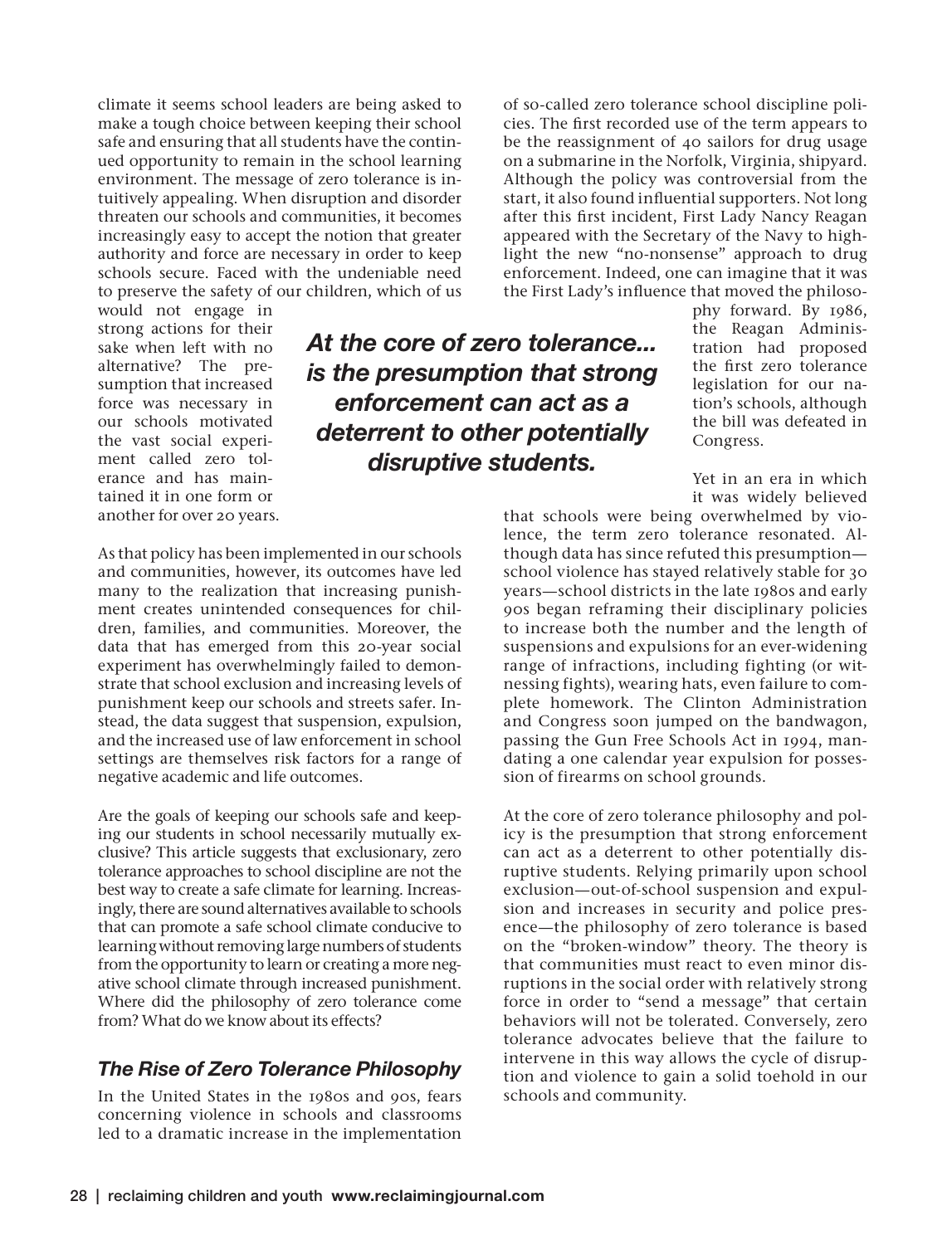climate it seems school leaders are being asked to make a tough choice between keeping their school safe and ensuring that all students have the continued opportunity to remain in the school learning environment. The message of zero tolerance is intuitively appealing. When disruption and disorder threaten our schools and communities, it becomes increasingly easy to accept the notion that greater authority and force are necessary in order to keep schools secure. Faced with the undeniable need to preserve the safety of our children, which of us

would not engage in strong actions for their sake when left with no alternative? The presumption that increased force was necessary in our schools motivated the vast social experiment called zero tolerance and has maintained it in one form or another for over 20 years.

*At the core of zero tolerance... is the presumption that strong enforcement can act as a deterrent to other potentially disruptive students.*

As that policy has been implemented in our schools and communities, however, its outcomes have led many to the realization that increasing punishment creates unintended consequences for children, families, and communities. Moreover, the data that has emerged from this 20-year social experiment has overwhelmingly failed to demonstrate that school exclusion and increasing levels of punishment keep our schools and streets safer. Instead, the data suggest that suspension, expulsion, and the increased use of law enforcement in school settings are themselves risk factors for a range of negative academic and life outcomes.

Are the goals of keeping our schools safe and keeping our students in school necessarily mutually exclusive? This article suggests that exclusionary, zero tolerance approaches to school discipline are not the best way to create a safe climate for learning. Increasingly, there are sound alternatives available to schools that can promote a safe school climate conducive to learning without removing large numbers of students from the opportunity to learn or creating a more negative school climate through increased punishment. Where did the philosophy of zero tolerance come from? What do we know about its effects?

# *The Rise of Zero Tolerance Philosophy*

In the United States in the 1980s and 90s, fears concerning violence in schools and classrooms led to a dramatic increase in the implementation

of so-called zero tolerance school discipline policies. The first recorded use of the term appears to be the reassignment of 40 sailors for drug usage on a submarine in the Norfolk, Virginia, shipyard. Although the policy was controversial from the start, it also found influential supporters. Not long after this first incident, First Lady Nancy Reagan appeared with the Secretary of the Navy to highlight the new "no-nonsense" approach to drug enforcement. Indeed, one can imagine that it was the First Lady's influence that moved the philoso-

phy forward. By 1986, the Reagan Administration had proposed the first zero tolerance legislation for our nation's schools, although the bill was defeated in Congress.

Yet in an era in which it was widely believed

that schools were being overwhelmed by violence, the term zero tolerance resonated. Although data has since refuted this presumption school violence has stayed relatively stable for 30 years—school districts in the late 1980s and early 90s began reframing their disciplinary policies to increase both the number and the length of suspensions and expulsions for an ever-widening range of infractions, including fighting (or witnessing fights), wearing hats, even failure to complete homework. The Clinton Administration and Congress soon jumped on the bandwagon, passing the Gun Free Schools Act in 1994, mandating a one calendar year expulsion for possession of firearms on school grounds.

At the core of zero tolerance philosophy and policy is the presumption that strong enforcement can act as a deterrent to other potentially disruptive students. Relying primarily upon school exclusion—out-of-school suspension and expulsion and increases in security and police presence—the philosophy of zero tolerance is based on the "broken-window" theory. The theory is that communities must react to even minor disruptions in the social order with relatively strong force in order to "send a message" that certain behaviors will not be tolerated. Conversely, zero tolerance advocates believe that the failure to intervene in this way allows the cycle of disruption and violence to gain a solid toehold in our schools and community.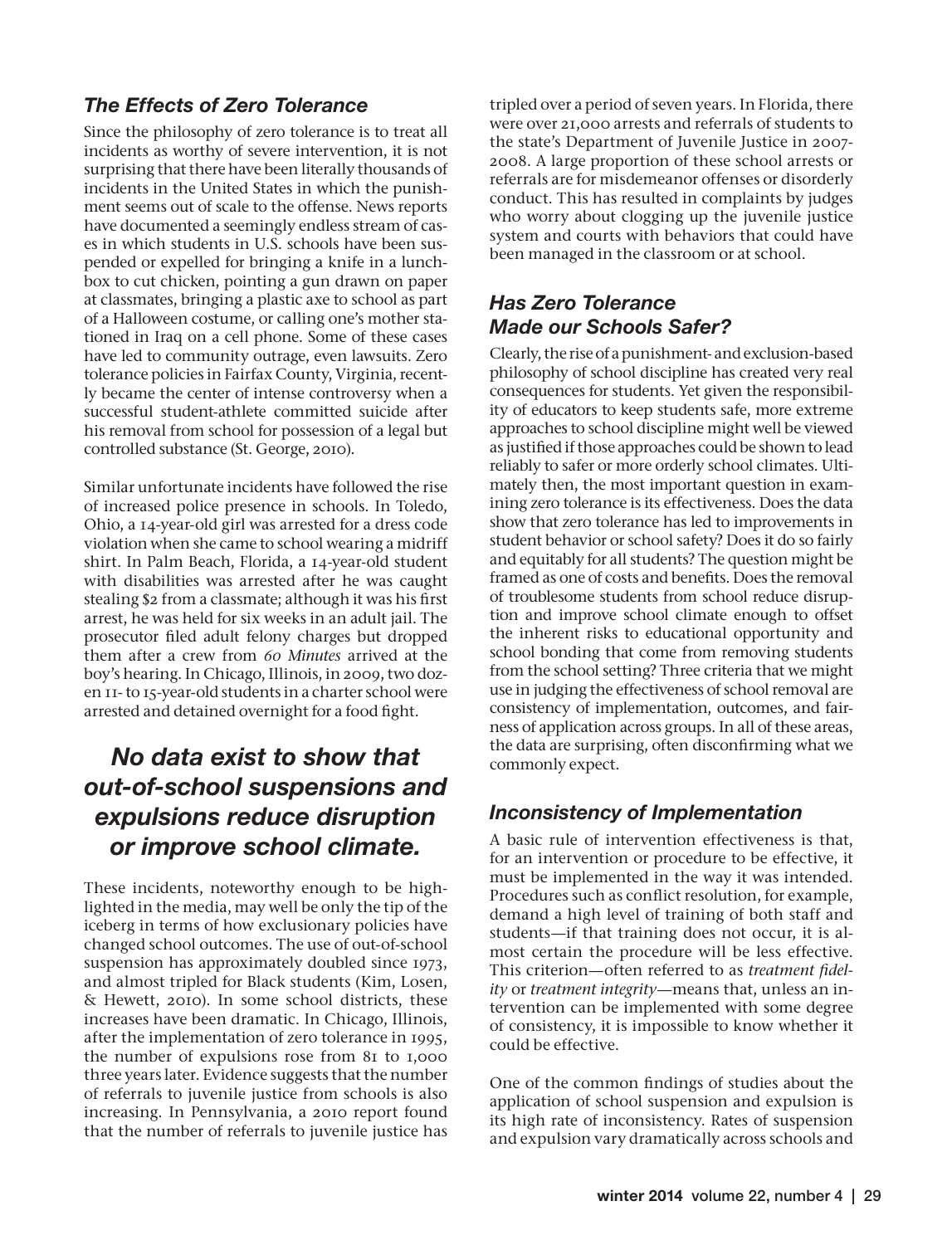# *The Effects of Zero Tolerance*

Since the philosophy of zero tolerance is to treat all incidents as worthy of severe intervention, it is not surprising that there have been literally thousands of incidents in the United States in which the punishment seems out of scale to the offense. News reports have documented a seemingly endless stream of cases in which students in U.S. schools have been suspended or expelled for bringing a knife in a lunchbox to cut chicken, pointing a gun drawn on paper at classmates, bringing a plastic axe to school as part of a Halloween costume, or calling one's mother stationed in Iraq on a cell phone. Some of these cases have led to community outrage, even lawsuits. Zero tolerance policies in Fairfax County, Virginia, recently became the center of intense controversy when a successful student-athlete committed suicide after his removal from school for possession of a legal but controlled substance (St. George, 2010).

Similar unfortunate incidents have followed the rise of increased police presence in schools. In Toledo, Ohio, a 14-year-old girl was arrested for a dress code violation when she came to school wearing a midriff shirt. In Palm Beach, Florida, a 14-year-old student with disabilities was arrested after he was caught stealing \$2 from a classmate; although it was his first arrest, he was held for six weeks in an adult jail. The prosecutor filed adult felony charges but dropped them after a crew from *60 Minutes* arrived at the boy's hearing. In Chicago, Illinois, in 2009, two dozen 11- to 15-year-old students in a charter school were arrested and detained overnight for a food fight.

# *No data exist to show that out-of-school suspensions and expulsions reduce disruption or improve school climate.*

These incidents, noteworthy enough to be highlighted in the media, may well be only the tip of the iceberg in terms of how exclusionary policies have changed school outcomes. The use of out-of-school suspension has approximately doubled since 1973, and almost tripled for Black students (Kim, Losen, & Hewett, 2010). In some school districts, these increases have been dramatic. In Chicago, Illinois, after the implementation of zero tolerance in 1995, the number of expulsions rose from 81 to 1,000 three years later. Evidence suggests that the number of referrals to juvenile justice from schools is also increasing. In Pennsylvania, a 2010 report found that the number of referrals to juvenile justice has

tripled over a period of seven years. In Florida, there were over 21,000 arrests and referrals of students to the state's Department of Juvenile Justice in 2007- 2008. A large proportion of these school arrests or referrals are for misdemeanor offenses or disorderly conduct. This has resulted in complaints by judges who worry about clogging up the juvenile justice system and courts with behaviors that could have been managed in the classroom or at school.

# *Has Zero Tolerance Made our Schools Safer?*

Clearly, the rise of a punishment- and exclusion-based philosophy of school discipline has created very real consequences for students. Yet given the responsibility of educators to keep students safe, more extreme approaches to school discipline might well be viewed as justified if those approaches could be shown to lead reliably to safer or more orderly school climates. Ultimately then, the most important question in examining zero tolerance is its effectiveness. Does the data show that zero tolerance has led to improvements in student behavior or school safety? Does it do so fairly and equitably for all students? The question might be framed as one of costs and benefits. Does the removal of troublesome students from school reduce disruption and improve school climate enough to offset the inherent risks to educational opportunity and school bonding that come from removing students from the school setting? Three criteria that we might use in judging the effectiveness of school removal are consistency of implementation, outcomes, and fairness of application across groups. In all of these areas, the data are surprising, often disconfirming what we commonly expect.

### *Inconsistency of Implementation*

A basic rule of intervention effectiveness is that, for an intervention or procedure to be effective, it must be implemented in the way it was intended. Procedures such as conflict resolution, for example, demand a high level of training of both staff and students—if that training does not occur, it is almost certain the procedure will be less effective. This criterion—often referred to as *treatment fidelity* or *treatment integrity*—means that, unless an intervention can be implemented with some degree of consistency, it is impossible to know whether it could be effective.

One of the common findings of studies about the application of school suspension and expulsion is its high rate of inconsistency. Rates of suspension and expulsion vary dramatically across schools and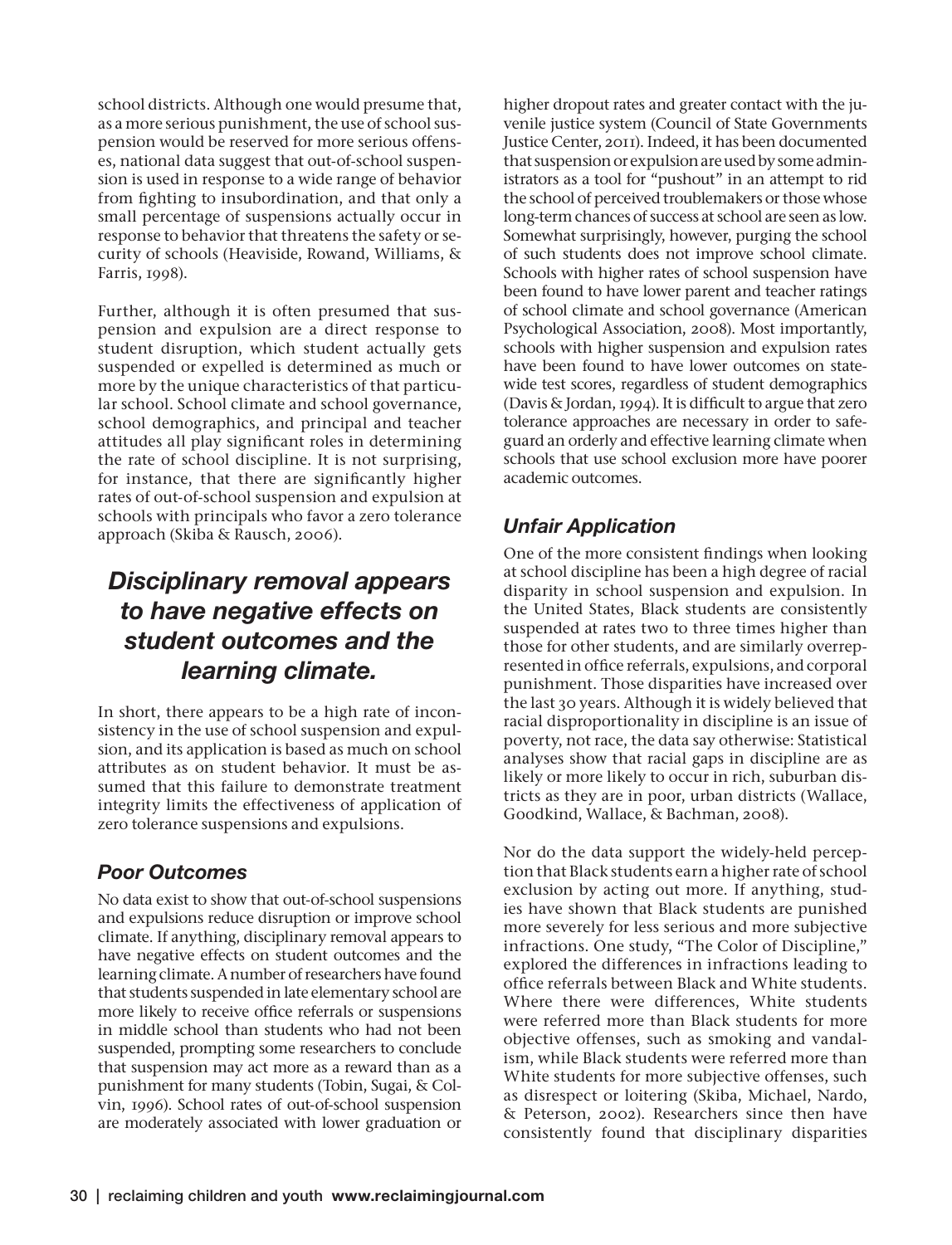school districts. Although one would presume that, as a more serious punishment, the use of school suspension would be reserved for more serious offenses, national data suggest that out-of-school suspension is used in response to a wide range of behavior from fighting to insubordination, and that only a small percentage of suspensions actually occur in response to behavior that threatens the safety or security of schools (Heaviside, Rowand, Williams, & Farris, 1998).

Further, although it is often presumed that suspension and expulsion are a direct response to student disruption, which student actually gets suspended or expelled is determined as much or more by the unique characteristics of that particular school. School climate and school governance, school demographics, and principal and teacher attitudes all play significant roles in determining the rate of school discipline. It is not surprising, for instance, that there are significantly higher rates of out-of-school suspension and expulsion at schools with principals who favor a zero tolerance approach (Skiba & Rausch, 2006).

# *Disciplinary removal appears to have negative effects on student outcomes and the learning climate.*

In short, there appears to be a high rate of inconsistency in the use of school suspension and expulsion, and its application is based as much on school attributes as on student behavior. It must be assumed that this failure to demonstrate treatment integrity limits the effectiveness of application of zero tolerance suspensions and expulsions.

# *Poor Outcomes*

No data exist to show that out-of-school suspensions and expulsions reduce disruption or improve school climate. If anything, disciplinary removal appears to have negative effects on student outcomes and the learning climate. A number of researchers have found that students suspended in late elementary school are more likely to receive office referrals or suspensions in middle school than students who had not been suspended, prompting some researchers to conclude that suspension may act more as a reward than as a punishment for many students (Tobin, Sugai, & Colvin, 1996). School rates of out-of-school suspension are moderately associated with lower graduation or

higher dropout rates and greater contact with the juvenile justice system (Council of State Governments Justice Center, 2011). Indeed, it has been documented that suspension or expulsion are used by some administrators as a tool for "pushout" in an attempt to rid the school of perceived troublemakers or those whose long-term chances of success at school are seen as low. Somewhat surprisingly, however, purging the school of such students does not improve school climate. Schools with higher rates of school suspension have been found to have lower parent and teacher ratings of school climate and school governance (American Psychological Association, 2008). Most importantly, schools with higher suspension and expulsion rates have been found to have lower outcomes on statewide test scores, regardless of student demographics (Davis & Jordan, 1994). It is difficult to argue that zero tolerance approaches are necessary in order to safeguard an orderly and effective learning climate when schools that use school exclusion more have poorer academic outcomes.

# *Unfair Application*

One of the more consistent findings when looking at school discipline has been a high degree of racial disparity in school suspension and expulsion. In the United States, Black students are consistently suspended at rates two to three times higher than those for other students, and are similarly overrepresented in office referrals, expulsions, and corporal punishment. Those disparities have increased over the last 30 years. Although it is widely believed that racial disproportionality in discipline is an issue of poverty, not race, the data say otherwise: Statistical analyses show that racial gaps in discipline are as likely or more likely to occur in rich, suburban districts as they are in poor, urban districts (Wallace, Goodkind, Wallace, & Bachman, 2008).

Nor do the data support the widely-held perception that Black students earn a higher rate of school exclusion by acting out more. If anything, studies have shown that Black students are punished more severely for less serious and more subjective infractions. One study, "The Color of Discipline," explored the differences in infractions leading to office referrals between Black and White students. Where there were differences, White students were referred more than Black students for more objective offenses, such as smoking and vandalism, while Black students were referred more than White students for more subjective offenses, such as disrespect or loitering (Skiba, Michael, Nardo, & Peterson, 2002). Researchers since then have consistently found that disciplinary disparities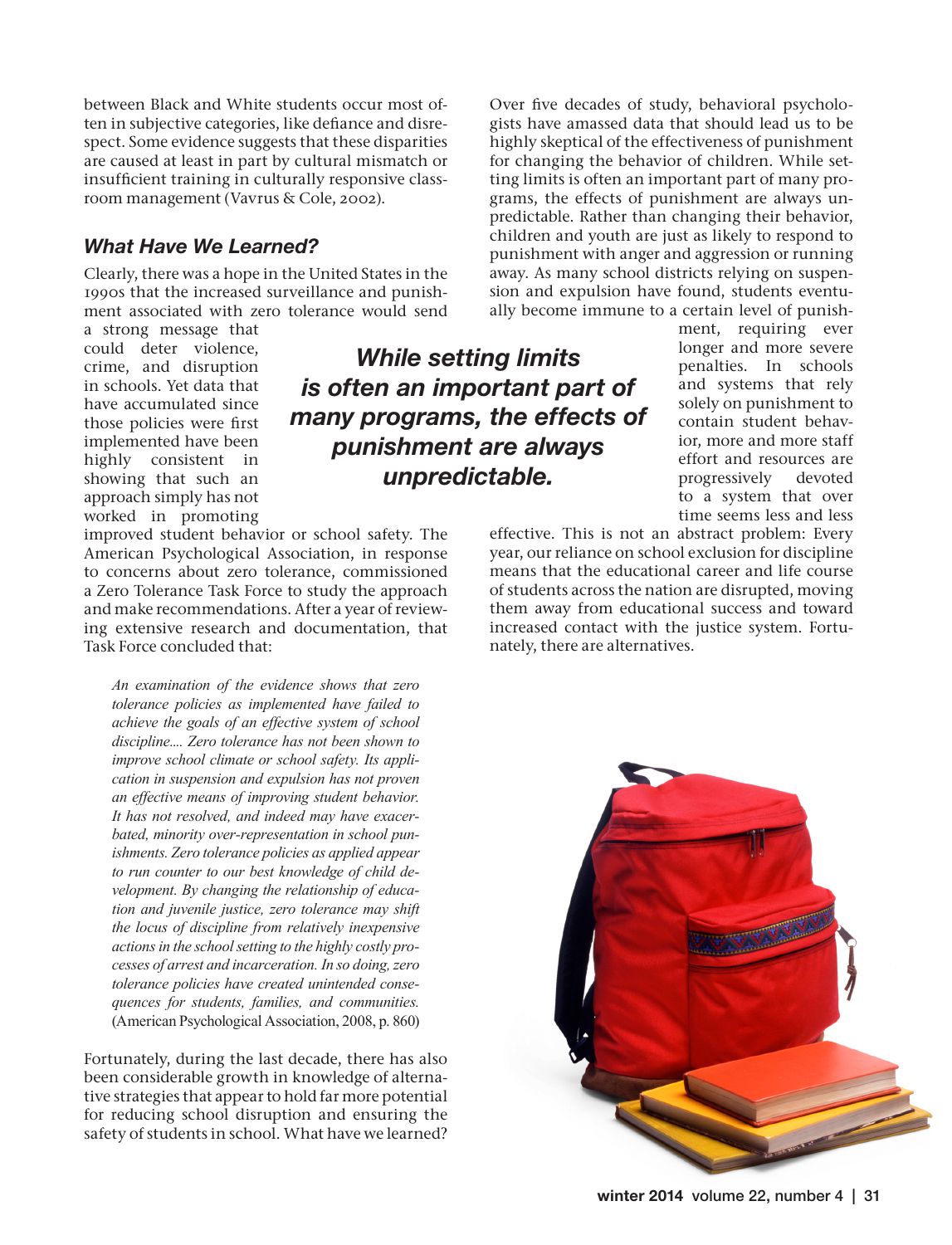between Black and White students occur most often in subjective categories, like defiance and disrespect. Some evidence suggests that these disparities are caused at least in part by cultural mismatch or insufficient training in culturally responsive classroom management (Vavrus & Cole, 2002).

### *What Have We Learned?*

Clearly, there was a hope in the United States in the 1990s that the increased surveillance and punishment associated with zero tolerance would send

a strong message that could deter violence, crime, and disruption in schools. Yet data that have accumulated since those policies were first implemented have been highly consistent in showing that such an approach simply has not worked in promoting

*While setting limits is often an important part of many programs, the effects of punishment are always unpredictable.*

improved student behavior or school safety. The American Psychological Association, in response to concerns about zero tolerance, commissioned a Zero Tolerance Task Force to study the approach and make recommendations. After a year of reviewing extensive research and documentation, that Task Force concluded that:

*An examination of the evidence shows that zero tolerance policies as implemented have failed to achieve the goals of an effective system of school discipline.... Zero tolerance has not been shown to improve school climate or school safety. Its application in suspension and expulsion has not proven an effective means of improving student behavior. It has not resolved, and indeed may have exacerbated, minority over-representation in school punishments. Zero tolerance policies as applied appear to run counter to our best knowledge of child development. By changing the relationship of education and juvenile justice, zero tolerance may shift the locus of discipline from relatively inexpensive actions in the school setting to the highly costly processes of arrest and incarceration. In so doing, zero tolerance policies have created unintended consequences for students, families, and communities.*  (American Psychological Association, 2008, p. 860)

Fortunately, during the last decade, there has also been considerable growth in knowledge of alternative strategies that appear to hold far more potential for reducing school disruption and ensuring the safety of students in school. What have we learned? Over five decades of study, behavioral psychologists have amassed data that should lead us to be highly skeptical of the effectiveness of punishment for changing the behavior of children. While setting limits is often an important part of many programs, the effects of punishment are always unpredictable. Rather than changing their behavior, children and youth are just as likely to respond to punishment with anger and aggression or running away. As many school districts relying on suspension and expulsion have found, students eventually become immune to a certain level of punish-

ment, requiring ever longer and more severe penalties. In schools and systems that rely solely on punishment to contain student behavior, more and more staff effort and resources are progressively devoted to a system that over time seems less and less

effective. This is not an abstract problem: Every year, our reliance on school exclusion for discipline means that the educational career and life course of students across the nation are disrupted, moving them away from educational success and toward increased contact with the justice system. Fortunately, there are alternatives.

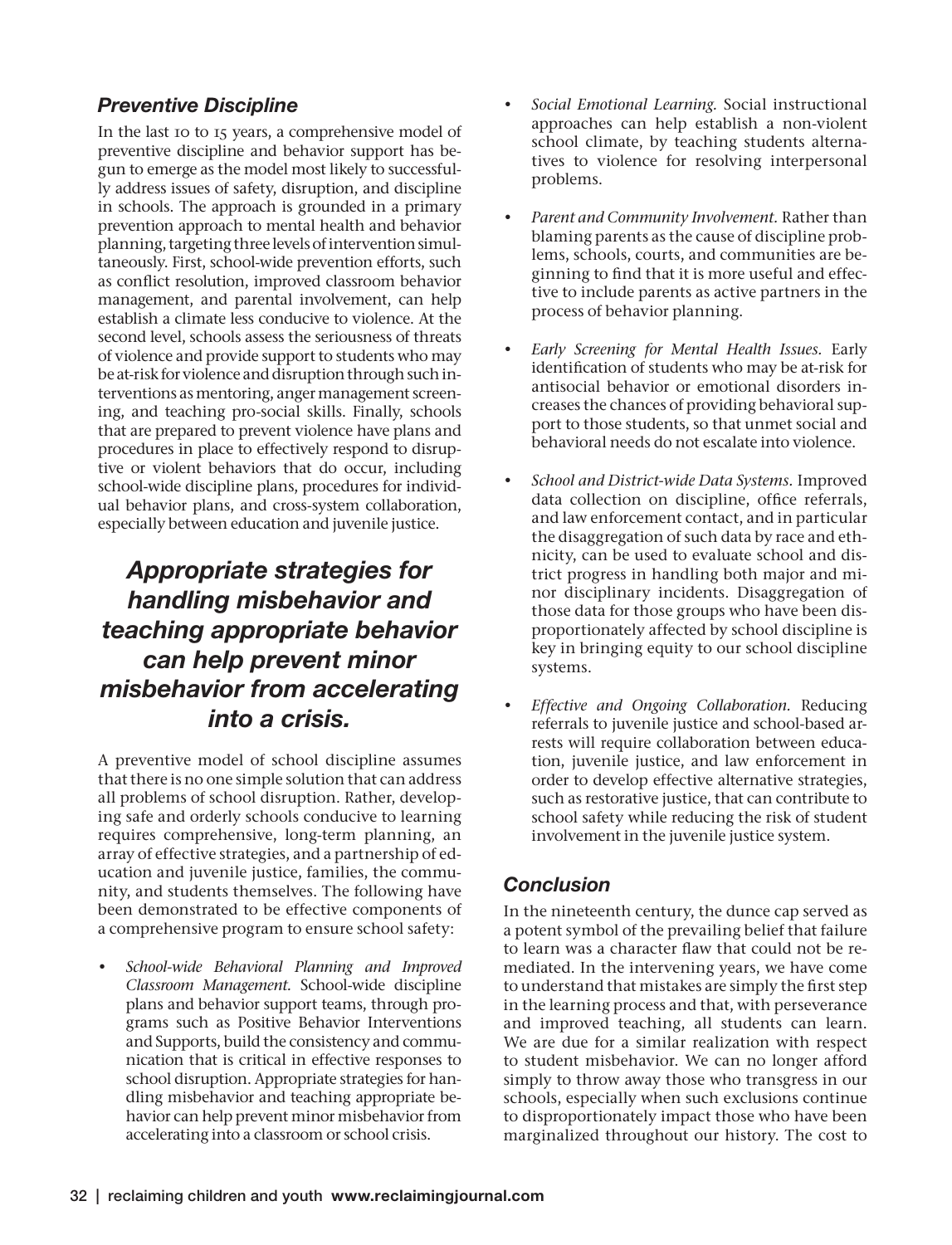# *Preventive Discipline*

In the last 10 to 15 years, a comprehensive model of preventive discipline and behavior support has begun to emerge as the model most likely to successfully address issues of safety, disruption, and discipline in schools. The approach is grounded in a primary prevention approach to mental health and behavior planning, targeting three levels of intervention simultaneously. First, school-wide prevention efforts, such as conflict resolution, improved classroom behavior management, and parental involvement, can help establish a climate less conducive to violence. At the second level, schools assess the seriousness of threats of violence and provide support to students who may be at-risk for violence and disruption through such interventions as mentoring, anger management screening, and teaching pro-social skills. Finally, schools that are prepared to prevent violence have plans and procedures in place to effectively respond to disruptive or violent behaviors that do occur, including school-wide discipline plans, procedures for individual behavior plans, and cross-system collaboration, especially between education and juvenile justice.

# *Appropriate strategies for handling misbehavior and teaching appropriate behavior can help prevent minor misbehavior from accelerating into a crisis.*

A preventive model of school discipline assumes that there is no one simple solution that can address all problems of school disruption. Rather, developing safe and orderly schools conducive to learning requires comprehensive, long-term planning, an array of effective strategies, and a partnership of education and juvenile justice, families, the community, and students themselves. The following have been demonstrated to be effective components of a comprehensive program to ensure school safety:

*• School-wide Behavioral Planning and Improved Classroom Management.* School-wide discipline plans and behavior support teams, through programs such as Positive Behavior Interventions and Supports, build the consistency and communication that is critical in effective responses to school disruption. Appropriate strategies for handling misbehavior and teaching appropriate behavior can help prevent minor misbehavior from accelerating into a classroom or school crisis.

- *• Social Emotional Learning.* Social instructional approaches can help establish a non-violent school climate, by teaching students alternatives to violence for resolving interpersonal problems.
- *• Parent and Community Involvement.* Rather than blaming parents as the cause of discipline problems, schools, courts, and communities are beginning to find that it is more useful and effective to include parents as active partners in the process of behavior planning.
- *• Early Screening for Mental Health Issues.* Early identification of students who may be at-risk for antisocial behavior or emotional disorders increases the chances of providing behavioral support to those students, so that unmet social and behavioral needs do not escalate into violence.
- *• School and District-wide Data Systems.* Improved data collection on discipline, office referrals, and law enforcement contact, and in particular the disaggregation of such data by race and ethnicity, can be used to evaluate school and district progress in handling both major and minor disciplinary incidents. Disaggregation of those data for those groups who have been disproportionately affected by school discipline is key in bringing equity to our school discipline systems.
- *• Effective and Ongoing Collaboration.* Reducing referrals to juvenile justice and school-based arrests will require collaboration between education, juvenile justice, and law enforcement in order to develop effective alternative strategies, such as restorative justice, that can contribute to school safety while reducing the risk of student involvement in the juvenile justice system.

# *Conclusion*

In the nineteenth century, the dunce cap served as a potent symbol of the prevailing belief that failure to learn was a character flaw that could not be remediated. In the intervening years, we have come to understand that mistakes are simply the first step in the learning process and that, with perseverance and improved teaching, all students can learn. We are due for a similar realization with respect to student misbehavior. We can no longer afford simply to throw away those who transgress in our schools, especially when such exclusions continue to disproportionately impact those who have been marginalized throughout our history. The cost to